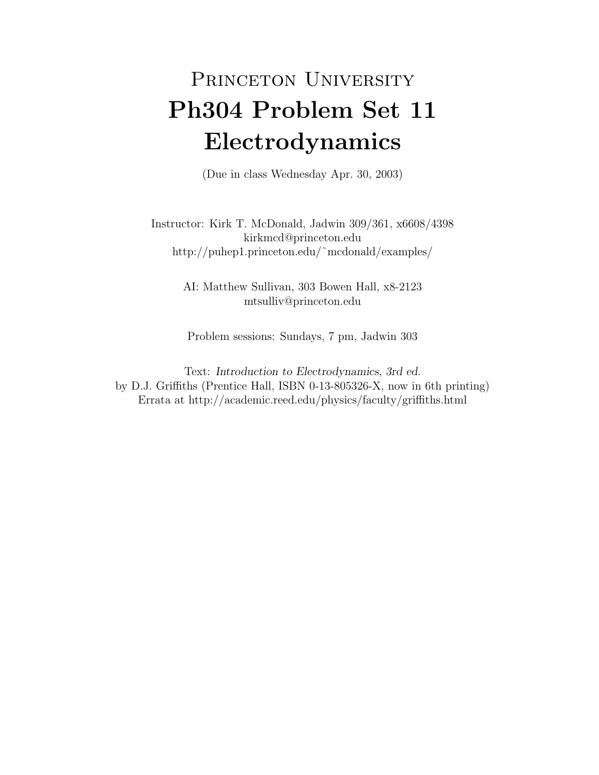## PRINCETON UNIVERSITY Ph304 Problem Set 11 Electrodynamics

(Due in class Wednesday Apr. 30, 2003)

Instructor: Kirk T. McDonald, Jadwin 309/361, x6608/4398 kirkmcd@princeton.edu http://puhep1.princeton.edu/˜mcdonald/examples/

> AI: Matthew Sullivan, 303 Bowen Hall, x8-2123 mtsulliv@princeton.edu

Problem sessions: Sundays, 7 pm, Jadwin 303

Text: Introduction to Electrodynamics, 3rd ed. by D.J. Griffiths (Prentice Hall, ISBN 0-13-805326-X, now in 6th printing) Errata at http://academic.reed.edu/physics/faculty/griffiths.html